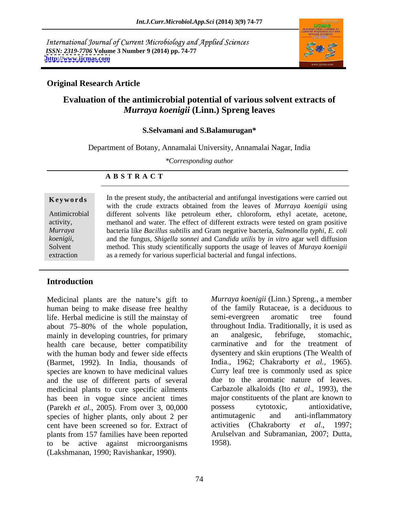International Journal of Current Microbiology and Applied Sciences *ISSN: 2319-7706* **Volume 3 Number 9 (2014) pp. 74-77 <http://www.ijcmas.com>**



## **Original Research Article**

# **Evaluation of the antimicrobial potential of various solvent extracts of**  *Murraya koenigii* **(Linn.) Spreng leaves**

### **S.Selvamani and S.Balamurugan\***

Department of Botany, Annamalai University, Annamalai Nagar, India

*\*Corresponding author*

### **A B S T R A C T**

**Keywords** In the present study, the antibacterial and antifungal investigations were carried out Antimicrobial different solvents like petroleum ether, chloroform, ethyl acetate, acetone, activity, methanol and water. The effect of different extracts were tested on gram positive *Murraya*  bacteria like *Bacillus subtilis* and Gram negative bacteria, *Salmonella typhi, E. coli koenigii*, and the fungus, *Shigella sonnei* and *Candida utilis* by *in vitro* agar well diffusion method. This study scientifically supports the usage of leaves of *Muraya koenigii* extraction as a remedy for various superficial bacterial and fungal infections. with the crude extracts obtained from the leaves of *Murraya koenigii* using and the fungus, *Shigella sonnei* and C*andida utilis* by *in vitro* agar well diffusion

## **Introduction**

Medicinal plants are the nature's gift to human being to make disease free healthy life. Herbal medicine is still the mainstay of mainly in developing countries, for primary an analgesic, febrifuge, stomachic, health care because, better compatibility with the human body and fewer side effects species are known to have medicinal values and the use of different parts of several medicinal plants to cure specific ailments (Parekh *et al.*, 2005). From over 3, 00,000 species of higher plants, only about 2 per antimutagenic and anti-inflammatory cent have been screened so for. Extract of activities (Chakraborty *et al.*, 1997; cent have been screened so for. Extract of activities (Chakraborty et al., plants from 157 families have been reported to be active against microorganisms (Lakshmanan, 1990; Ravishankar, 1990).

about 75–80% of the whole population, throughout India. Traditionally, it is used as (Barmet, 1992). In India, thousands of India., 1962; Chakraborty *et al.,* 1965). has been in vogue since ancient times major constituents of the plant are known to *Murraya koenigii* (Linn.) Spreng., a member of the family Rutaceae, is a deciduous to semi-evergreen aromatic tree found throughout India. Traditionally, it is used as an analgesic, febrifuge, stomachic, carminative and for the treatment of dysentery and skin eruptions (The Wealth of Curry leaf tree is commonly used as spice due to the aromatic nature of leaves. Carbazole alkaloids (Ito *et al*., 1993), the possess cytotoxic, antioxidative, antimutagenic and anti-inflammatory activities (Chakraborty *et al*., 1997; Arulselvan and Subramanian*,* 2007; Dutta*,* 1958).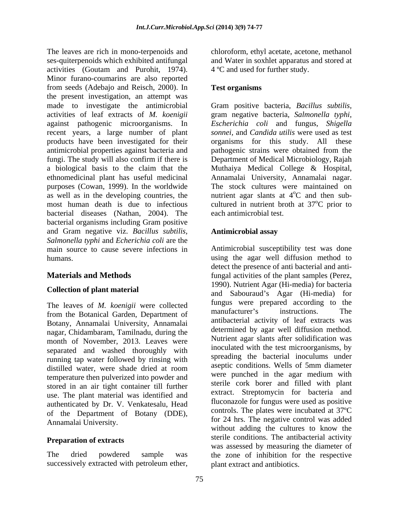The leaves are rich in mono-terpenoids and chloroform, ethyl acetate, acetone, methanol ses-quiterpenoids which exhibited antifungal and Water in soxhlet apparatus and stored at activities (Goutam and Purohit, 1974). Minor furano-coumarins are also reported from seeds (Adebajo and Reisch*,* 2000). In the present investigation, an attempt was made to investigate the antimicrobial Gram positive bacteria, *Bacillus subtilis,* activities of leaf extracts of *M. koenigii* gram negative bacteria, *Salmonella typhi*, against pathogenic microorganisms. In *Escherichia coli* and fungus, *Shigella*  recent years, a large number of plant products have been investigated for their organisms for this study. All these antimicrobial properties against bacteria and pathogenic strains were obtained from the fungi. The study will also confirm if there is Department of Medical Microbiology, Rajah a biological basis to the claim that the Muthaiya Medical College & Hospital, ethnomedicinal plant has useful medicinal Annamalai University, Annamalai nagar. purposes (Cowan, 1999). In the worldwide The stock cultures were maintained on as well as in the developing countries, the mutrient agar slants at  $4^{\circ}C$  and then submost human death is due to infectious cultured in nutrient broth at  $37^{\circ}$ C prior to bacterial diseases (Nathan, 2004). The bacterial organisms including Gram positive and Gram negative viz. *Bacillus subtilis, Salmonella typhi* and *Echerichia coli* are the

The leaves of *M. koenigii* were collected<br>the manufacturer's instructions. The from the Botanical Garden, Department of Botany, Annamalai University, Annamalai nagar, Chidambaram, Tamilnadu, during the month of November, 2013. Leaves were separated and washed thoroughly with running tap water followed by rinsing with distilled water, were shade dried at room temperature then pulverized into powder and stored in an air tight container till further use. The plant material was identified and authenticated by Dr. V. Venkatesalu, Head<br>of the Department of Botany (DDE),

successively extracted with petroleum ether,

4 ºC and used for further study.

## **Test organisms**

*sonnei,* and *Candida utilis* were used as test <sup>o</sup>C and then sub-<sup>o</sup>C prior to each antimicrobial test.

# **Antimicrobial assay**

main source to cause severe infections in Antimicrobial susceptibility test was done humans. The using the agar well diffusion method to humans. **Materials and Methods** fungal activities of the plant samples (Perez, **Collection of plant material** and Sabouraud's Agar (Hi-media) for sacterial and Sabouraud's Agar (Hi-media) for of the Department of Botany (DDE), controls. The plates were included at  $37^{\circ}$  for 24 hrs. The negative control was added for 24 hrs. **Preparation of extracts** sterile conditions. The antibacterial activity The dried powdered sample was the zone of inhibition for the respective detect the presence of anti bacterial and anti-1990). Nutrient Agar (Hi-media) for bacteria fungus were prepared according to the manufacturer's instructions. The antibacterial activity of leaf extracts was determined by agar well diffusion method. Nutrient agar slants after solidification was inoculated with the test microorganisms, by spreading the bacterial inoculums under aseptic conditions. Wells of 5mm diameter were punched in the agar medium with sterile cork borer and filled with plant extract. Streptomycin for bacteria and fluconazole for fungus were used as positive controls. The plates were incubated at 37ºC for 24 hrs. The negative control was added without adding the cultures to know the was assessed by measuring the diameter of plant extract and antibiotics.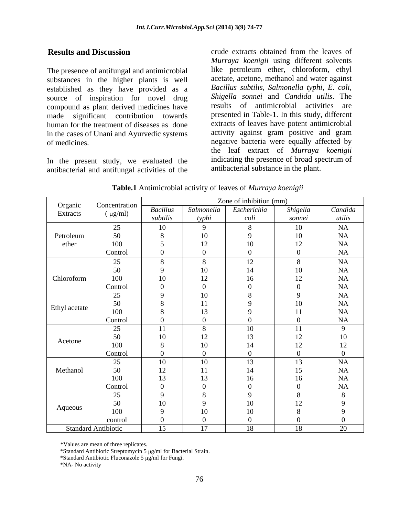The presence of antifungal and antimicrobial substances in the higher plants is well established as they have provided as a source of inspiration for novel drug compound as plant derived medicines have made significant contribution towards presented in Table-1. In this study, different human for the treatment of diseases as done in the cases of Unani and Ayurvedic systems of medicines. negative bacteria were equally affected by

In the present study, we evaluated the antibacterial and antifungal activities of the

**Results and Discussion crude** extracts obtained from the leaves of *Murraya koenigii* using different solvents like petroleum ether, chloroform, ethyl acetate, acetone, methanol and water against *Bacillus subtilis, Salmonella typhi, E. coli, Shigella sonnei* and *Candida utilis*. The results of antimicrobial activities are extracts of leaves have potent antimicrobial activity against gram positive and gram the leaf extract of *Murraya koenigii* indicating the presence of broad spectrum of antibacterial substance in the plant.

|               |                            | Zone of inhibition (mm) |       |                                 |                              |           |
|---------------|----------------------------|-------------------------|-------|---------------------------------|------------------------------|-----------|
| Organic       | Concentration              | <b>Bacillus</b>         |       | Salmonella   Escherichia        | Shigella                     | Candida   |
| Extracts      | $(\mu g/ml)$               | subtilis                | typhi | coli                            | sonnei                       | utilis    |
|               | 25                         | 10                      |       |                                 | 10                           | NA        |
| Petroleum     | 50                         |                         | 10    |                                 | $10\,$                       | <b>NA</b> |
| ether         | 100                        |                         | 12    | 10                              | 1 <sub>2</sub>               | <b>NA</b> |
|               |                            |                         | 1/2   |                                 | ⊥∠                           | NA        |
|               | Control                    |                         |       |                                 |                              |           |
|               | 25                         |                         |       | 12 <sub>1</sub><br>$\mathbf{1}$ |                              | NA        |
|               | 50                         |                         | 10    | 14                              | 10                           | NA        |
| Chloroform    | 100                        | 10                      | 12    | 16                              | $1^{\circ}$<br>$\perp$       | <b>NA</b> |
|               | Control                    |                         |       |                                 |                              | NA        |
|               | 25                         |                         | 10    |                                 | $\Omega$                     | NA        |
|               | 50                         |                         | 11    |                                 | 10                           | NA        |
| Ethyl acetate | 100                        |                         | 13    |                                 | 11                           | <b>NA</b> |
|               | Control                    |                         |       |                                 |                              | <b>NA</b> |
|               | 25                         | 11                      |       | 10                              | 11                           |           |
|               | 50                         | 10                      | 12    |                                 | $1^{\circ}$                  | 10        |
| Acetone       | 100                        |                         | 10    | 1 <sub>A</sub>                  | $\frac{1}{2}$<br>$1^{\circ}$ | 12        |
|               | Control                    |                         |       |                                 | $\perp$                      |           |
|               |                            |                         |       |                                 |                              |           |
|               | 25                         | 10                      | 10    | 13                              | 13                           | <b>NA</b> |
| Methanol      | 50                         | 12                      | 11    | 14                              | 15                           | NA        |
|               | 100                        | 13                      | 13    | 16                              | 16                           | NA        |
|               | Control                    |                         |       |                                 |                              | <b>NA</b> |
|               | 25                         | $\Omega$                |       | $\alpha$                        | $\Omega$                     |           |
|               | 50                         | 10                      |       | 10                              | 12<br>$\perp$                |           |
| Aqueous       | 100                        |                         | 10    | 10                              |                              |           |
|               | control                    |                         |       |                                 |                              |           |
|               | <b>Standard Antibiotic</b> | 15                      | 17    | 18                              | 18                           | 20        |

**Table.1** Antimicrobial activity of leaves of *Murraya koenigii*

\*Values are mean of three replicates.

\*Standard Antibiotic Streptomycin 5 µg/ml for Bacterial Strain.

\*Standard Antibiotic Fluconazole 5  $\mu$ g/ml for Fungi.

\*NA- No activity